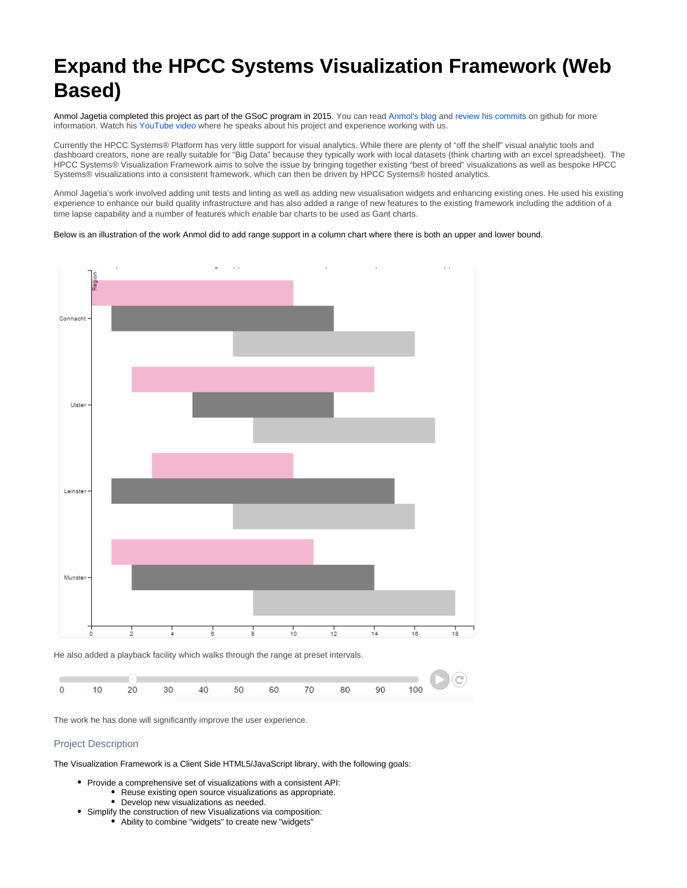## **Expand the HPCC Systems Visualization Framework (Web Based)**

Anmol Jagetia completed this project as part of the GSoC program in 2015. You can read [Anmol's blog](http://blog.anmoljagetia.me/gsoc-journal/) and [review his commits](https://github.com/anmoljagetia?tab=activity) on github for more information. Watch his [YouTube video](https://www.youtube.com/watch?v=E1TOOt0GmZs&feature=youtu.be) where he speaks about his project and experience working with us.

Currently the HPCC Systems® Platform has very little support for visual analytics. While there are plenty of "off the shelf" visual analytic tools and dashboard creators, none are really suitable for "Big Data" because they typically work with local datasets (think charting with an excel spreadsheet). The HPCC Systems® Visualization Framework aims to solve the issue by bringing together existing "best of breed" visualizations as well as bespoke HPCC Systems® visualizations into a consistent framework, which can then be driven by HPCC Systems® hosted analytics.

Anmol Jagetia's work involved adding unit tests and linting as well as adding new visualisation widgets and enhancing existing ones. He used his existing experience to enhance our build quality infrastructure and has also added a range of new features to the existing framework including the addition of a time lapse capability and a number of features which enable bar charts to be used as Gant charts.

Below is an illustration of the work Anmol did to add range support in a column chart where there is both an upper and lower bound.



He also added a playback facility which walks through the range at preset intervals.



The work he has done will significantly improve the user experience.

## Project Description

The Visualization Framework is a Client Side HTML5/JavaScript library, with the following goals:

- Provide a comprehensive set of visualizations with a consistent API: Reuse existing open source visualizations as appropriate.
	- Develop new visualizations as needed.
- Simplify the construction of new Visualizations via composition: Ability to combine "widgets" to create new "widgets"